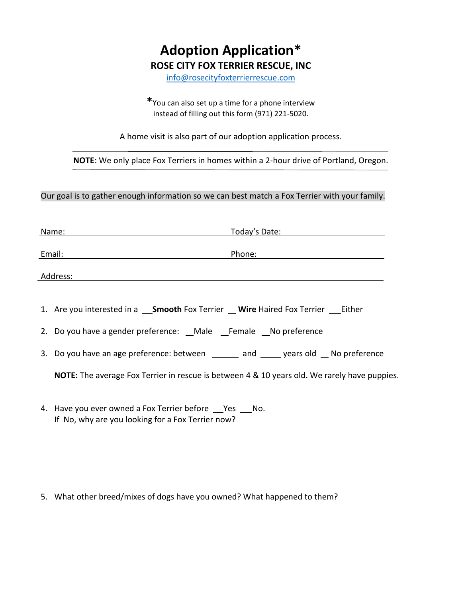## **Adoption Application\* ROSE CITY FOX TERRIER RESCUE, INC**

[info@rosecityfoxterrierrescue.com](mailto:info@rosecityfoxterrierrescue.com)

**\***You can also set up a time for a phone interview instead of filling out this form (971) 221-5020.

A home visit is also part of our adoption application process.

**NOTE**: We only place Fox Terriers in homes within a 2-hour drive of Portland, Oregon.

Our goal is to gather enough information so we can best match a Fox Terrier with your family.

|          | Today's Date:<br>Name:                                                                              |
|----------|-----------------------------------------------------------------------------------------------------|
|          | Email:<br>Phone:                                                                                    |
| Address: |                                                                                                     |
|          |                                                                                                     |
|          |                                                                                                     |
|          | 2. Do you have a gender preference: Male Female No preference                                       |
|          | 3. Do you have an age preference: between ________ and ______ years old ___ No preference           |
|          | <b>NOTE:</b> The average Fox Terrier in rescue is between 4 & 10 years old. We rarely have puppies. |
|          |                                                                                                     |

4. Have you ever owned a Fox Terrier before Pes No. If No, why are you looking for a Fox Terrier now?

5. What other breed/mixes of dogs have you owned? What happened to them?